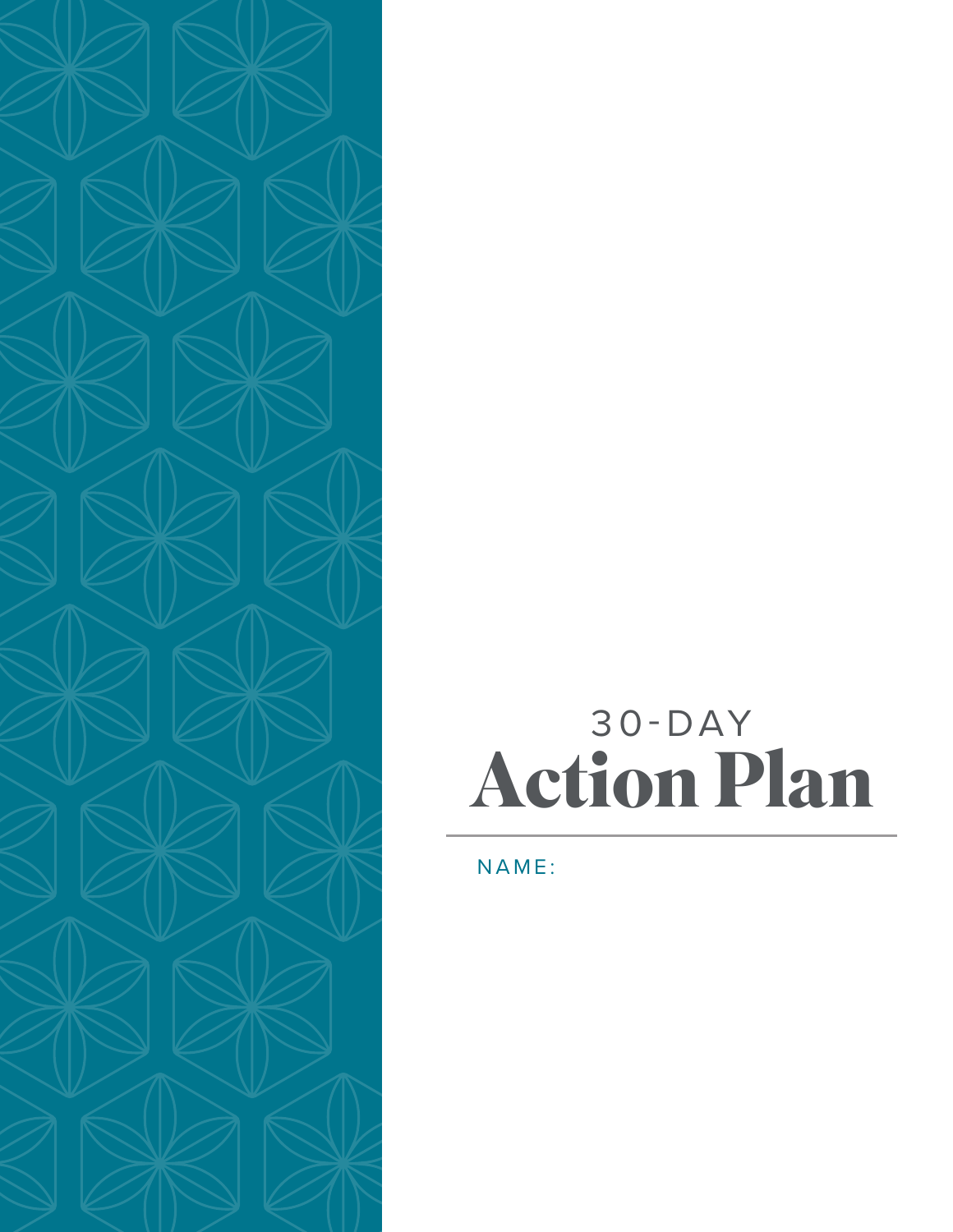

## 30-DAY **Action Plan**

#### NAME: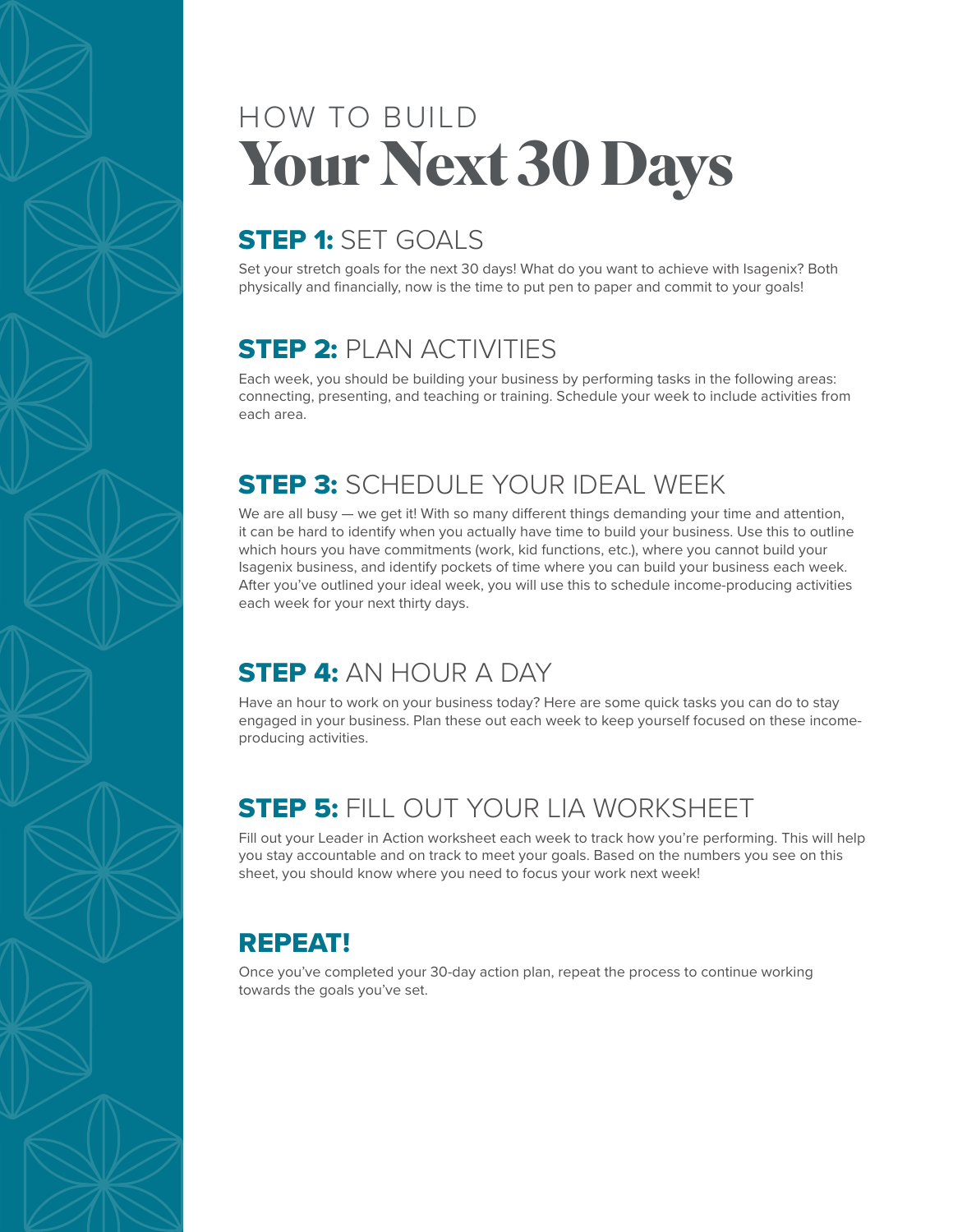## HOW TO BUILD **Your Next 30 Days**

### STEP 1: SET GOALS

Set your stretch goals for the next 30 days! What do you want to achieve with Isagenix? Both physically and financially, now is the time to put pen to paper and commit to your goals!

### **STEP 2: PLAN ACTIVITIES**

Each week, you should be building your business by performing tasks in the following areas: connecting, presenting, and teaching or training. Schedule your week to include activities from each area.

### **STEP 3: SCHEDULE YOUR IDEAL WEEK**

We are all busy — we get it! With so many different things demanding your time and attention, it can be hard to identify when you actually have time to build your business. Use this to outline which hours you have commitments (work, kid functions, etc.), where you cannot build your Isagenix business, and identify pockets of time where you can build your business each week. After you've outlined your ideal week, you will use this to schedule income-producing activities each week for your next thirty days.

### STEP 4: AN HOUR A DAY

Have an hour to work on your business today? Here are some quick tasks you can do to stay engaged in your business. Plan these out each week to keep yourself focused on these incomeproducing activities.

### **STEP 5: FILL OUT YOUR LIA WORKSHEET**

Fill out your Leader in Action worksheet each week to track how you're performing. This will help you stay accountable and on track to meet your goals. Based on the numbers you see on this sheet, you should know where you need to focus your work next week!

### REPEAT!

Once you've completed your 30-day action plan, repeat the process to continue working towards the goals you've set.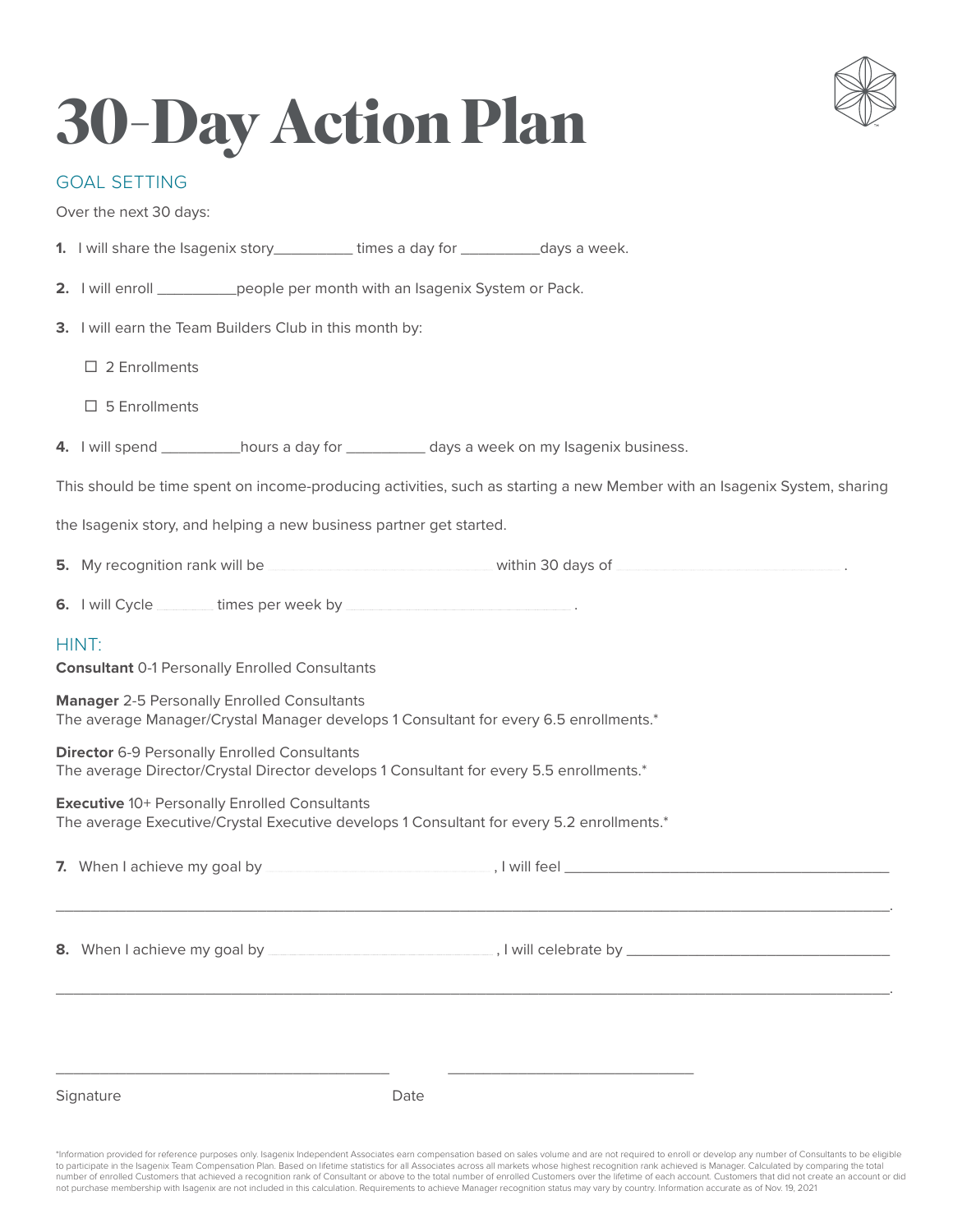

# **30-Day Action Plan**

#### GOAL SETTING

Over the next 30 days:

- **1.** I will share the Isagenix story\_\_\_\_\_\_\_\_\_ times a day for \_\_\_\_\_\_\_\_\_days a week.
- **2.** I will enroll \_\_\_\_\_\_\_\_\_people per month with an Isagenix System or Pack.
- **3.** I will earn the Team Builders Club in this month by:
	- $\square$  2 Enrollments
	- $\square$  5 Enrollments
- **4.** I will spend hours a day for the days a week on my Isagenix business.

This should be time spent on income-producing activities, such as starting a new Member with an Isagenix System, sharing

the Isagenix story, and helping a new business partner get started.

- **5.** My recognition rank will be **with a set of the contract within 30 days of**  $\blacksquare$  **within 30 days of**  $\blacksquare$
- **6.** I will Cycle *mummachery* times per week by  $\frac{1}{100}$

#### HINT:

**Consultant** 0-1 Personally Enrolled Consultants

**Manager** 2-5 Personally Enrolled Consultants The average Manager/Crystal Manager develops 1 Consultant for every 6.5 enrollments.\*

**Director** 6-9 Personally Enrolled Consultants The average Director/Crystal Director develops 1 Consultant for every 5.5 enrollments.\*

**Executive** 10+ Personally Enrolled Consultants The average Executive/Crystal Executive develops 1 Consultant for every 5.2 enrollments.\*

| Signature | Date |  |
|-----------|------|--|

\*Information provided for reference purposes only. Isagenix Independent Associates earn compensation based on sales volume and are not required to enroll or develop any number of Consultants to be eligible to participate in the Isagenix Team Compensation Plan. Based on lifetime statistics for all Associates across all markets whose highest recognition rank achieved is Manager. Calculated by comparing the total number of enrolled Customers that achieved a recognition rank of Consultant or above to the total number of enrolled Customers over the lifetime of each account. Customers that did not create an account or did not purchase membership with Isagenix are not included in this calculation. Requirements to achieve Manager recognition status may vary by country. Information accurate as of Nov. 19, 2021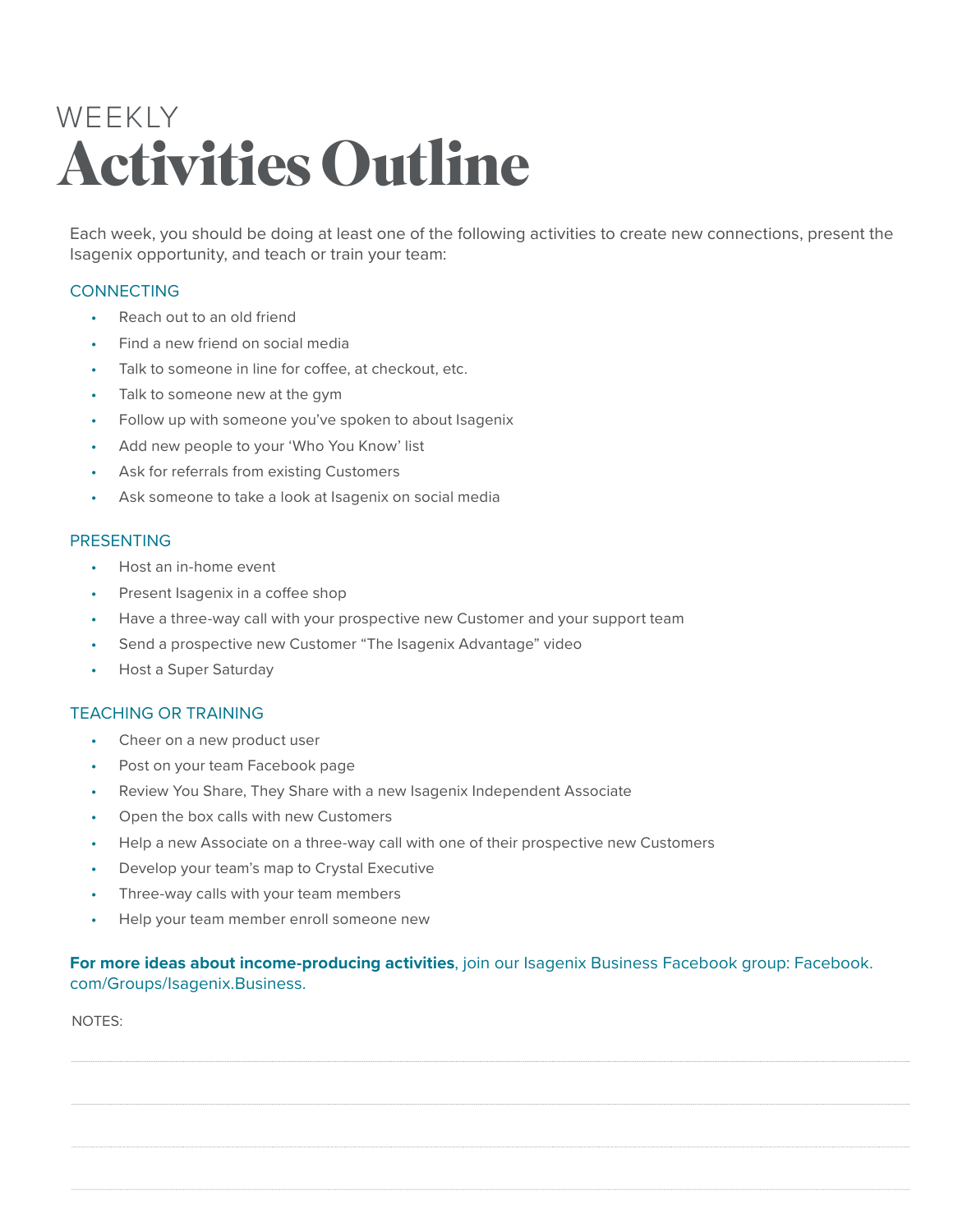## WEEKLY **Activities Outline**

Each week, you should be doing at least one of the following activities to create new connections, present the Isagenix opportunity, and teach or train your team:

#### **CONNECTING**

- Reach out to an old friend
- Find a new friend on social media
- Talk to someone in line for coffee, at checkout, etc.
- Talk to someone new at the gym
- Follow up with someone you've spoken to about Isagenix
- Add new people to your 'Who You Know' list
- Ask for referrals from existing Customers
- Ask someone to take a look at Isagenix on social media

#### PRESENTING

- Host an in-home event
- Present Isagenix in a coffee shop
- Have a three-way call with your prospective new Customer and your support team
- Send a prospective new Customer "The Isagenix Advantage" video
- Host a Super Saturday

#### TEACHING OR TRAINING

- Cheer on a new product user
- Post on your team Facebook page
- Review You Share, They Share with a new Isagenix Independent Associate
- Open the box calls with new Customers
- Help a new Associate on a three-way call with one of their prospective new Customers
- Develop your team's map to Crystal Executive
- Three-way calls with your team members
- Help your team member enroll someone new

#### **For more ideas about income-producing activities**, join our Isagenix Business Facebook group: Facebook. com/Groups/Isagenix.Business.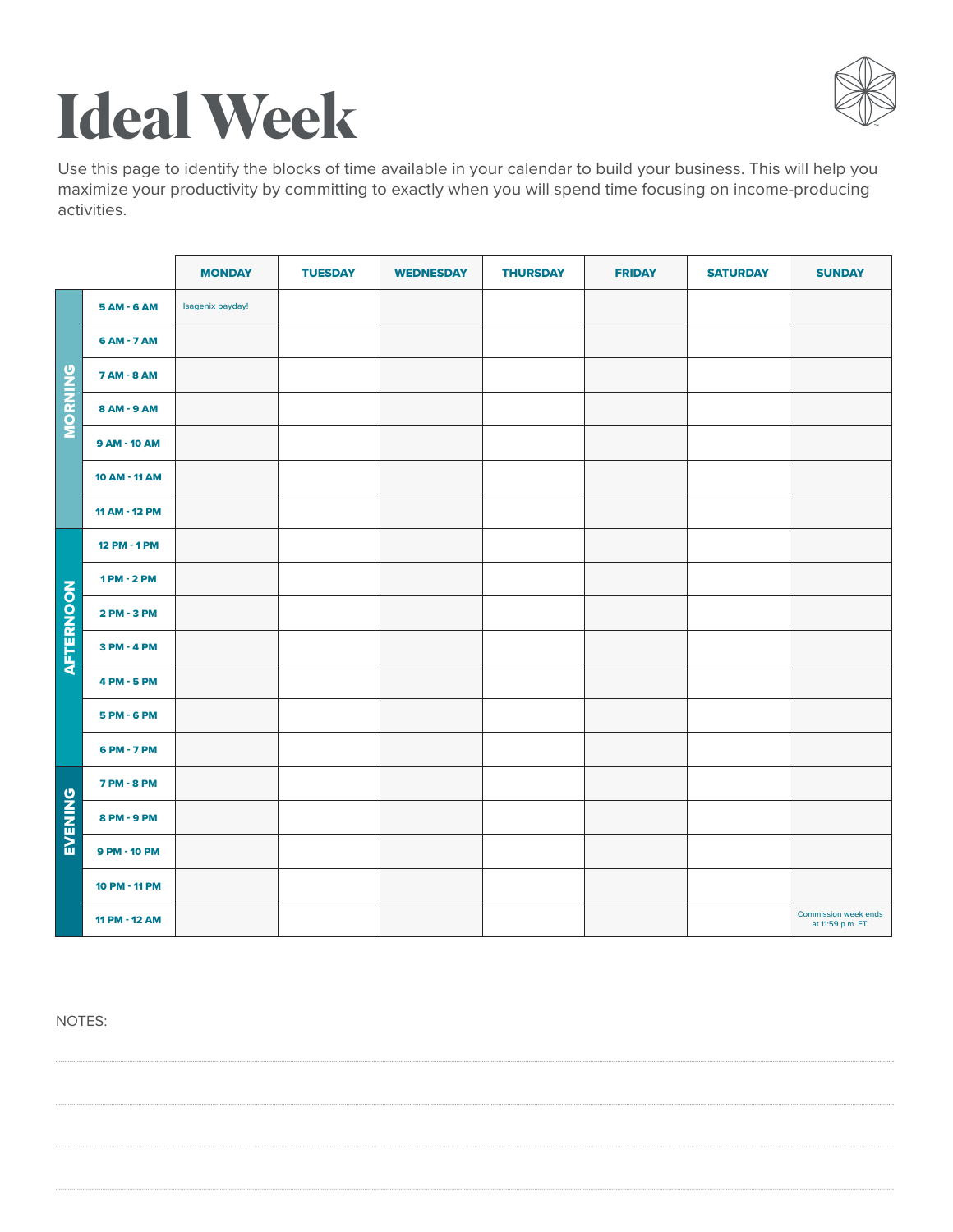

# **Ideal Week**

Use this page to identify the blocks of time available in your calendar to build your business. This will help you maximize your productivity by committing to exactly when you will spend time focusing on income-producing activities.

|                  |                    | <b>MONDAY</b>    | <b>TUESDAY</b> | <b>WEDNESDAY</b> | <b>THURSDAY</b> | <b>FRIDAY</b> | <b>SATURDAY</b> | <b>SUNDAY</b>                             |
|------------------|--------------------|------------------|----------------|------------------|-----------------|---------------|-----------------|-------------------------------------------|
|                  | 5 AM - 6 AM        | Isagenix payday! |                |                  |                 |               |                 |                                           |
|                  | 6 AM - 7 AM        |                  |                |                  |                 |               |                 |                                           |
|                  | 7 AM - 8 AM        |                  |                |                  |                 |               |                 |                                           |
| MORNING          | 8 AM - 9 AM        |                  |                |                  |                 |               |                 |                                           |
|                  | 9 AM - 10 AM       |                  |                |                  |                 |               |                 |                                           |
|                  | 10 AM - 11 AM      |                  |                |                  |                 |               |                 |                                           |
|                  | 11 AM - 12 PM      |                  |                |                  |                 |               |                 |                                           |
|                  | 12 PM - 1 PM       |                  |                |                  |                 |               |                 |                                           |
|                  | 1 PM - 2 PM        |                  |                |                  |                 |               |                 |                                           |
|                  | 2 PM - 3 PM        |                  |                |                  |                 |               |                 |                                           |
| <b>AFTERNOON</b> | 3 PM - 4 PM        |                  |                |                  |                 |               |                 |                                           |
|                  | 4 PM - 5 PM        |                  |                |                  |                 |               |                 |                                           |
|                  | 5 PM - 6 PM        |                  |                |                  |                 |               |                 |                                           |
|                  | 6 PM - 7 PM        |                  |                |                  |                 |               |                 |                                           |
| EVENING          | <b>7 PM - 8 PM</b> |                  |                |                  |                 |               |                 |                                           |
|                  | 8 PM - 9 PM        |                  |                |                  |                 |               |                 |                                           |
|                  | 9 PM - 10 PM       |                  |                |                  |                 |               |                 |                                           |
|                  | 10 PM - 11 PM      |                  |                |                  |                 |               |                 |                                           |
|                  | 11 PM - 12 AM      |                  |                |                  |                 |               |                 | Commission week ends<br>at 11:59 p.m. ET. |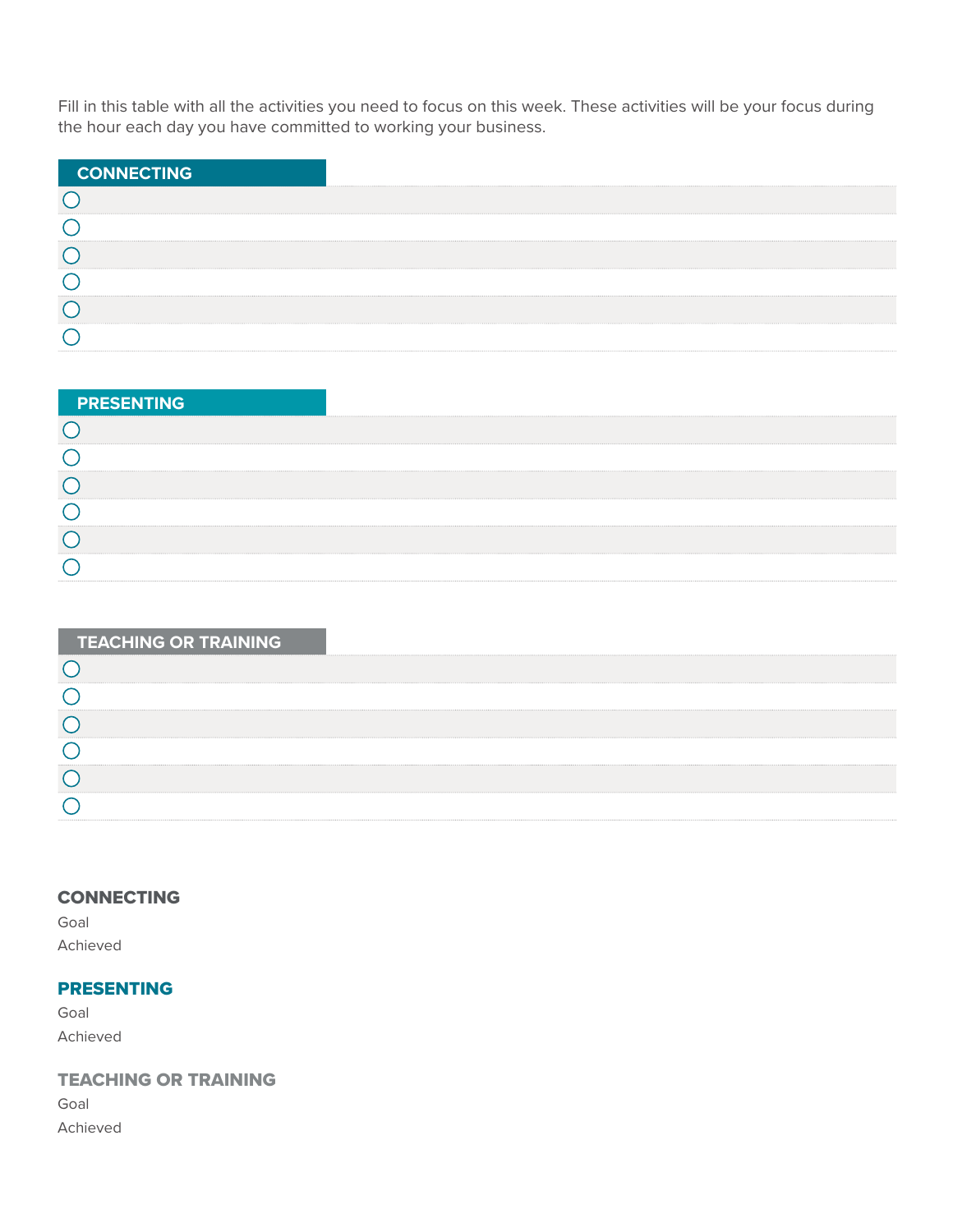Fill in this table with all the activities you need to focus on this week. These activities will be your focus during the hour each day you have committed to working your business.

| <b>CONNECTING</b> |  |
|-------------------|--|
|                   |  |
|                   |  |
|                   |  |
|                   |  |
|                   |  |
|                   |  |

| <b>PRESENTING</b> |  |
|-------------------|--|
|                   |  |
|                   |  |
|                   |  |
|                   |  |
|                   |  |
|                   |  |

| <b>TEACHING OR TRAINING</b> |  |
|-----------------------------|--|
|                             |  |
|                             |  |
|                             |  |
|                             |  |
|                             |  |
|                             |  |

#### CONNECTING

Goal Achieved

#### PRESENTING

Goal Achieved

#### TEACHING OR TRAINING

Goal Achieved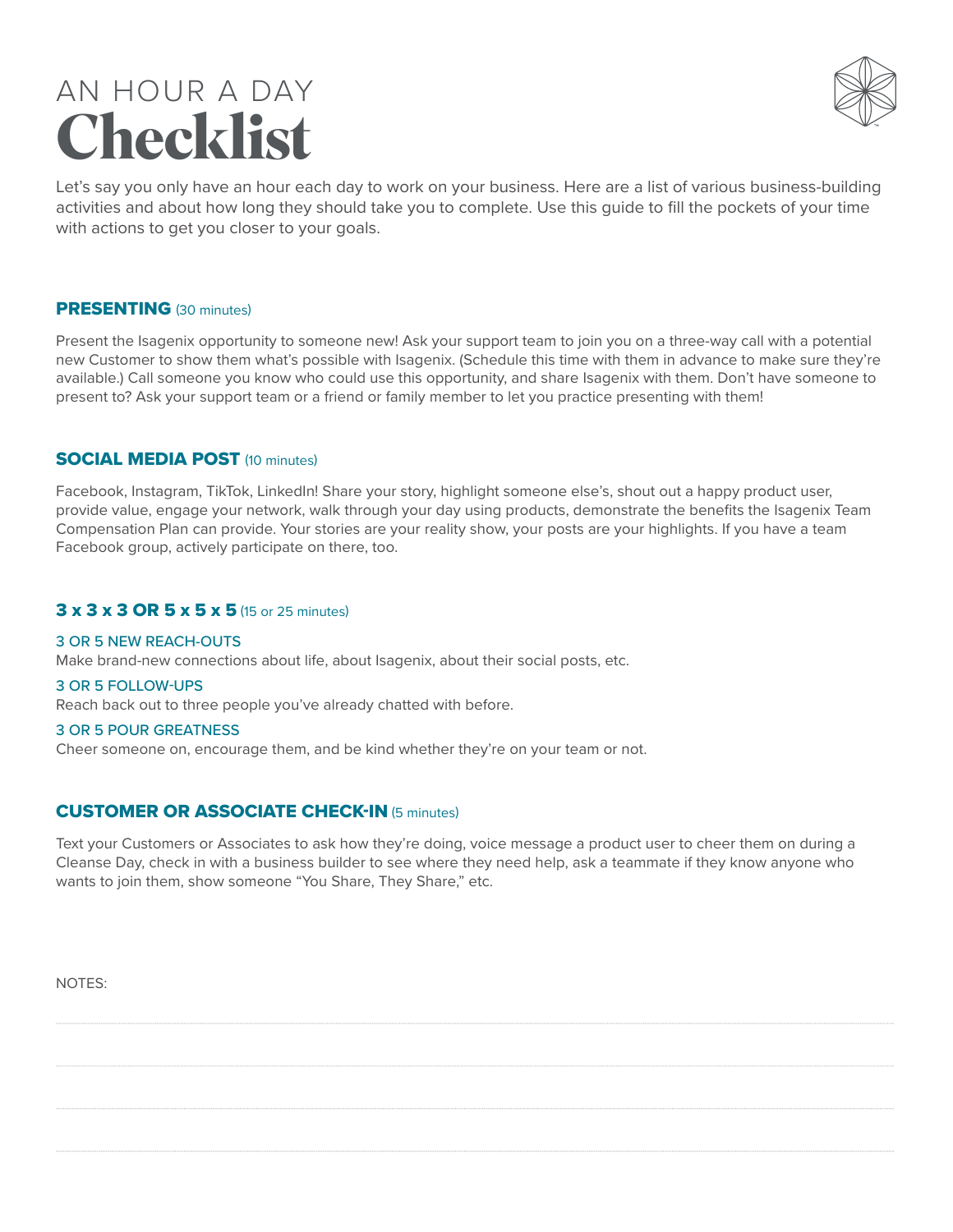### AN HOUR A DAY **Checklist**



Let's say you only have an hour each day to work on your business. Here are a list of various business-building activities and about how long they should take you to complete. Use this guide to fill the pockets of your time with actions to get you closer to your goals.

#### PRESENTING (30 minutes)

Present the Isagenix opportunity to someone new! Ask your support team to join you on a three-way call with a potential new Customer to show them what's possible with Isagenix. (Schedule this time with them in advance to make sure they're available.) Call someone you know who could use this opportunity, and share Isagenix with them. Don't have someone to present to? Ask your support team or a friend or family member to let you practice presenting with them!

#### SOCIAL MEDIA POST (10 minutes)

Facebook, Instagram, TikTok, LinkedIn! Share your story, highlight someone else's, shout out a happy product user, provide value, engage your network, walk through your day using products, demonstrate the benefits the Isagenix Team Compensation Plan can provide. Your stories are your reality show, your posts are your highlights. If you have a team Facebook group, actively participate on there, too.

#### 3 x 3 x 3 OR 5 x 5 x 5 (15 or 25 minutes)

#### 3 OR 5 NEW REACH-OUTS

Make brand-new connections about life, about Isagenix, about their social posts, etc.

#### 3 OR 5 FOLLOW-UPS

Reach back out to three people you've already chatted with before.

#### 3 OR 5 POUR GREATNESS

Cheer someone on, encourage them, and be kind whether they're on your team or not.

#### CUSTOMER OR ASSOCIATE CHECK-IN (5 minutes)

Text your Customers or Associates to ask how they're doing, voice message a product user to cheer them on during a Cleanse Day, check in with a business builder to see where they need help, ask a teammate if they know anyone who wants to join them, show someone "You Share, They Share," etc.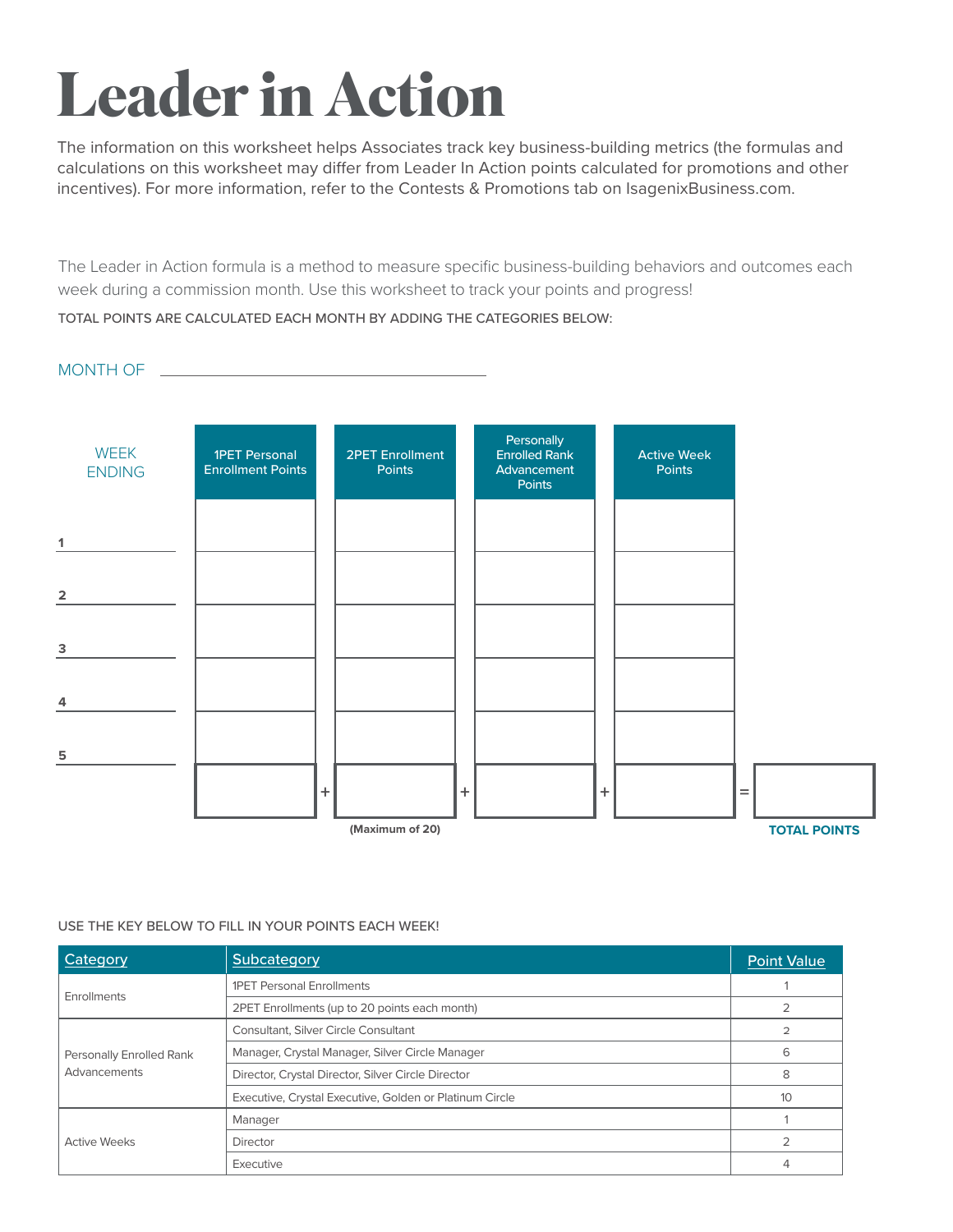# **Leader in Action**

The information on this worksheet helps Associates track key business-building metrics (the formulas and calculations on this worksheet may differ from Leader In Action points calculated for promotions and other incentives). For more information, refer to the Contests & Promotions tab on IsagenixBusiness.com.

The Leader in Action formula is a method to measure specific business-building behaviors and outcomes each week during a commission month. Use this worksheet to track your points and progress!

TOTAL POINTS ARE CALCULATED EACH MONTH BY ADDING THE CATEGORIES BELOW:

#### MONTH OF



#### USE THE KEY BELOW TO FILL IN YOUR POINTS EACH WEEK!

| Category                 | Subcategory                                             | <b>Point Value</b> |
|--------------------------|---------------------------------------------------------|--------------------|
|                          | <b>1PET Personal Enrollments</b>                        |                    |
| Enrollments              | 2PET Enrollments (up to 20 points each month)           |                    |
|                          | Consultant, Silver Circle Consultant                    | $\overline{2}$     |
| Personally Enrolled Rank | Manager, Crystal Manager, Silver Circle Manager         | 6                  |
| Advancements             | Director, Crystal Director, Silver Circle Director      | 8                  |
|                          | Executive, Crystal Executive, Golden or Platinum Circle | 10                 |
|                          | Manager                                                 |                    |
| <b>Active Weeks</b>      | <b>Director</b>                                         |                    |
|                          | Executive                                               |                    |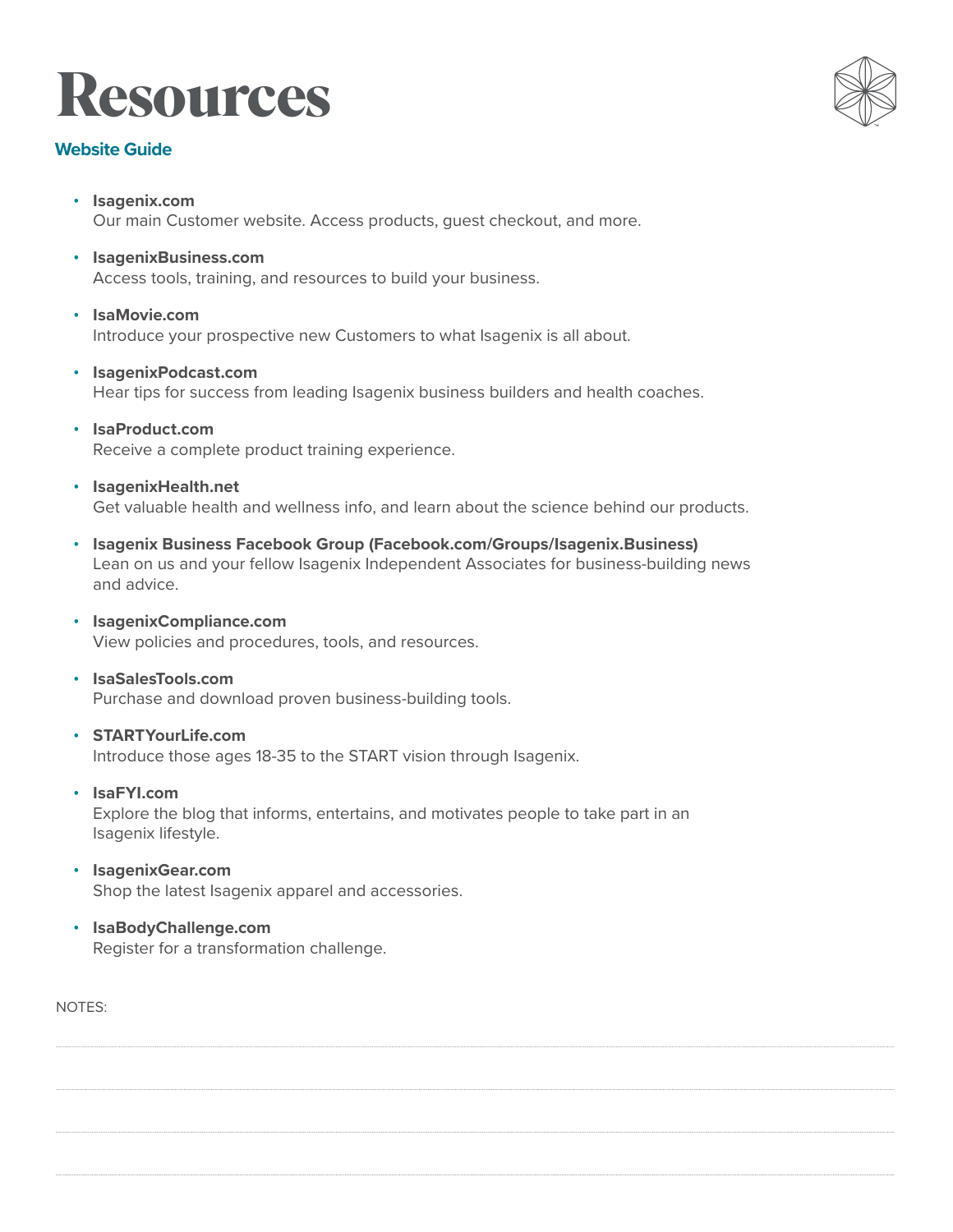## **Resources**

#### **Website Guide**

- **Isagenix.com** Our main Customer website. Access products, guest checkout, and more.
- **IsagenixBusiness.com** Access tools, training, and resources to build your business.
- **IsaMovie.com** Introduce your prospective new Customers to what Isagenix is all about.
- **IsagenixPodcast.com** Hear tips for success from leading Isagenix business builders and health coaches.
- **IsaProduct.com** Receive a complete product training experience.
- **IsagenixHealth.net** Get valuable health and wellness info, and learn about the science behind our products.
- **Isagenix Business Facebook Group (Facebook.com/Groups/Isagenix.Business)**  Lean on us and your fellow Isagenix Independent Associates for business-building news and advice.
- **IsagenixCompliance.com** View policies and procedures, tools, and resources.
- **IsaSalesTools.com** Purchase and download proven business-building tools.
- **STARTYourLife.com** Introduce those ages 18-35 to the START vision through Isagenix.
- **IsaFYI.com** Explore the blog that informs, entertains, and motivates people to take part in an Isagenix lifestyle.
- **IsagenixGear.com** Shop the latest Isagenix apparel and accessories.
- **IsaBodyChallenge.com** Register for a transformation challenge.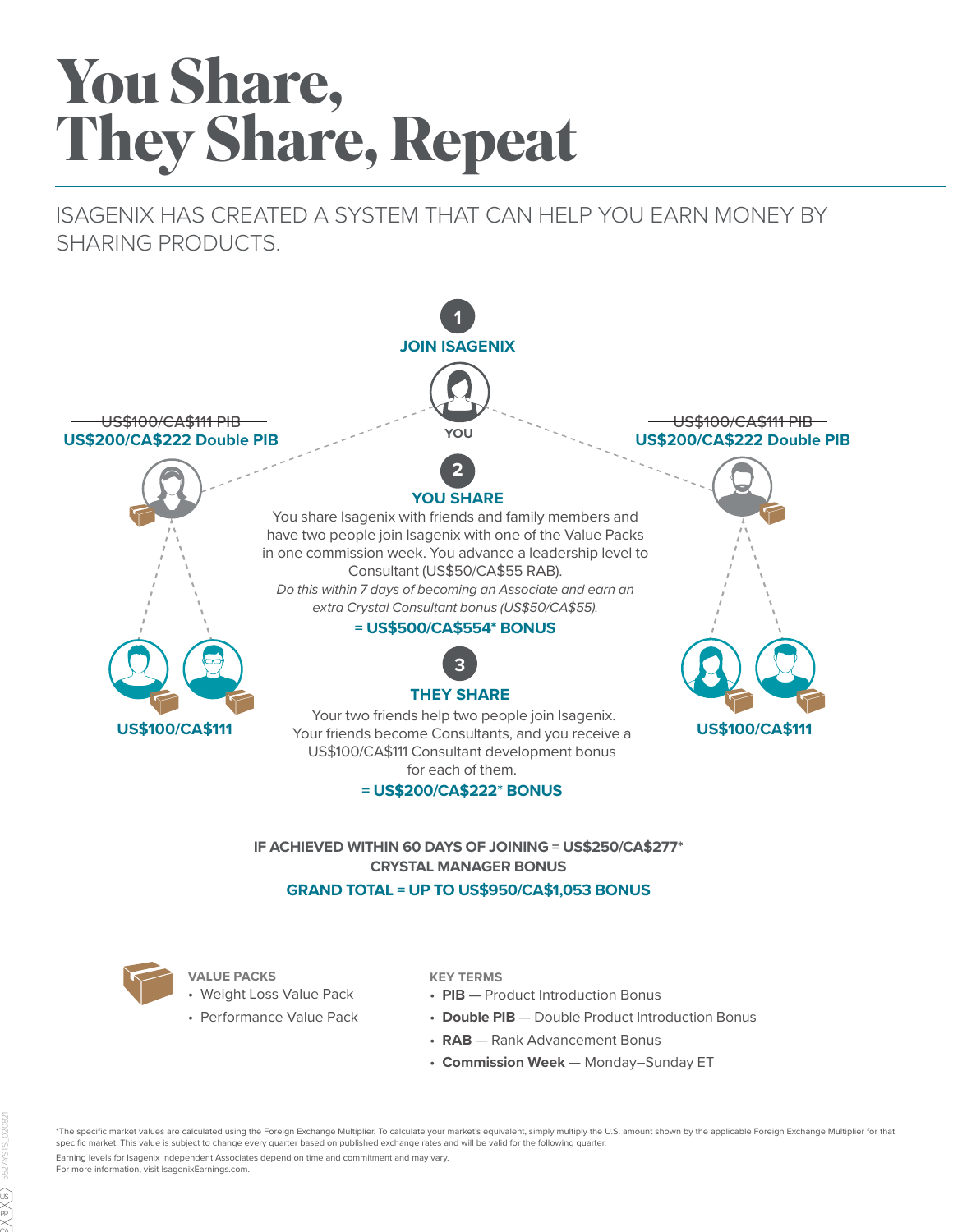# **You Share, They Share, Repeat**

ISAGENIX HAS CREATED A SYSTEM THAT CAN HELP YOU EARN MONEY BY SHARING PRODUCTS.



#### **GRAND TOTAL = UP TO US\$950/CA\$1,053 BONUS**



- **VALUE PACKS**
- Weight Loss Value Pack
- Performance Value Pack

#### **KEY TERMS**

- **PIB** Product Introduction Bonus
- **Double PIB** Double Product Introduction Bonus
- **RAB** Rank Advancement Bonus
- **Commission Week** Monday–Sunday ET

\*The specific market values are calculated using the Foreign Exchange Multiplier. To calculate your market's equivalent, simply multiply the U.S. amount shown by the applicable Foreign Exchange Multiplier for that specific market. This value is subject to change every quarter based on published exchange rates and will be valid for the following quarter.

Earning levels for Isagenix Independent Associates depend on time and commitment and may vary. For more information, visit IsagenixEarnings.com.

 $\cap \wedge$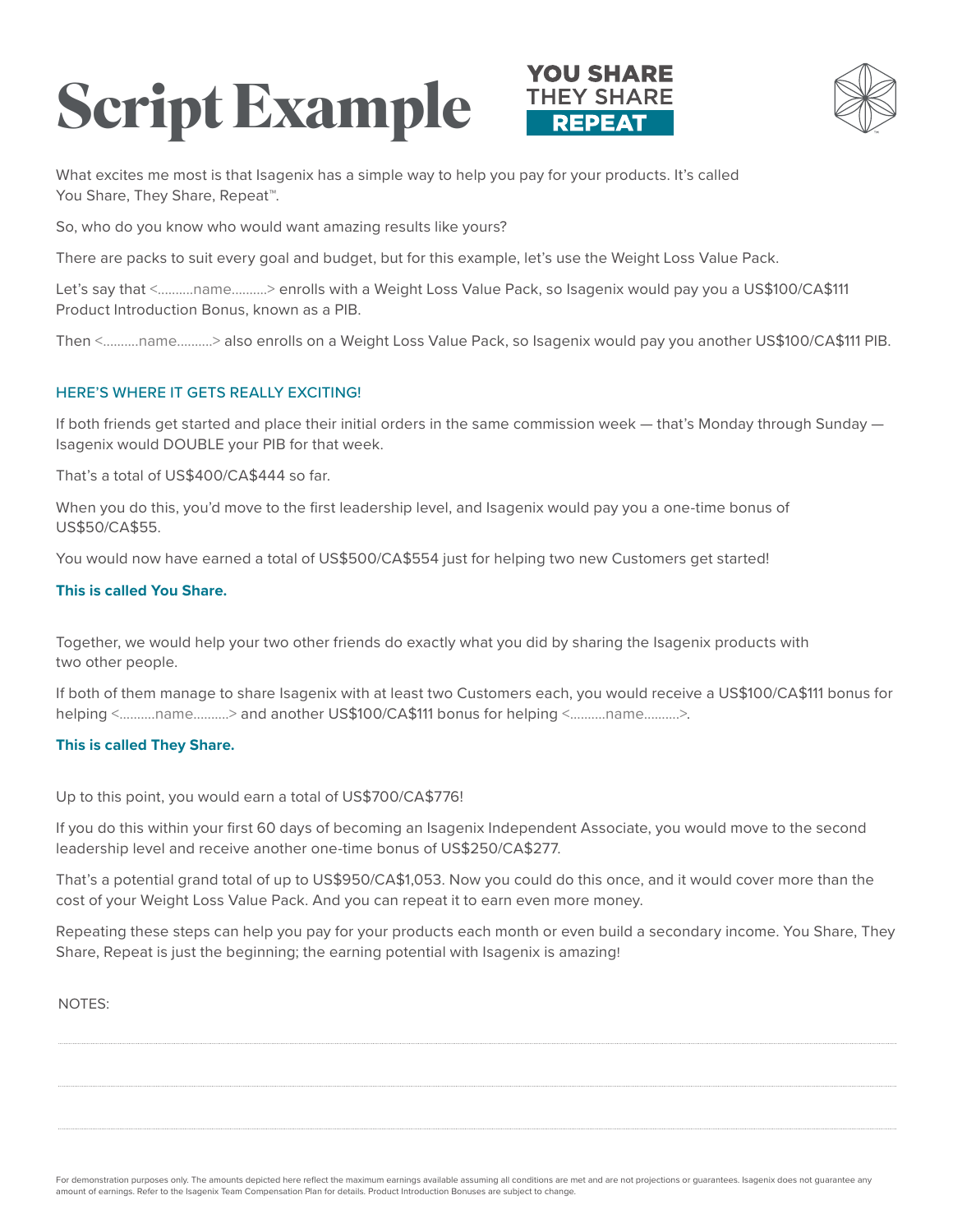# **Script Example**





What excites me most is that Isagenix has a simple way to help you pay for your products. It's called You Share, They Share, Repeat™.

So, who do you know who would want amazing results like yours?

There are packs to suit every goal and budget, but for this example, let's use the Weight Loss Value Pack.

Let's say that <..........name..........> enrolls with a Weight Loss Value Pack, so Isagenix would pay you a US\$100/CA\$111 Product Introduction Bonus, known as a PIB.

Then <..........name..........> also enrolls on a Weight Loss Value Pack, so Isagenix would pay you another US\$100/CA\$111 PIB.

#### HERE'S WHERE IT GETS REALLY EXCITING!

If both friends get started and place their initial orders in the same commission week — that's Monday through Sunday — Isagenix would DOUBLE your PIB for that week.

That's a total of US\$400/CA\$444 so far.

When you do this, you'd move to the first leadership level, and Isagenix would pay you a one-time bonus of US\$50/CA\$55.

You would now have earned a total of US\$500/CA\$554 just for helping two new Customers get started!

#### **This is called You Share.**

Together, we would help your two other friends do exactly what you did by sharing the Isagenix products with two other people.

If both of them manage to share Isagenix with at least two Customers each, you would receive a US\$100/CA\$111 bonus for helping <..........name...........> and another US\$100/CA\$111 bonus for helping <...........name...........>.

#### **This is called They Share.**

Up to this point, you would earn a total of US\$700/CA\$776!

If you do this within your first 60 days of becoming an Isagenix Independent Associate, you would move to the second leadership level and receive another one-time bonus of US\$250/CA\$277.

That's a potential grand total of up to US\$950/CA\$1,053. Now you could do this once, and it would cover more than the cost of your Weight Loss Value Pack. And you can repeat it to earn even more money.

Repeating these steps can help you pay for your products each month or even build a secondary income. You Share, They Share, Repeat is just the beginning; the earning potential with Isagenix is amazing!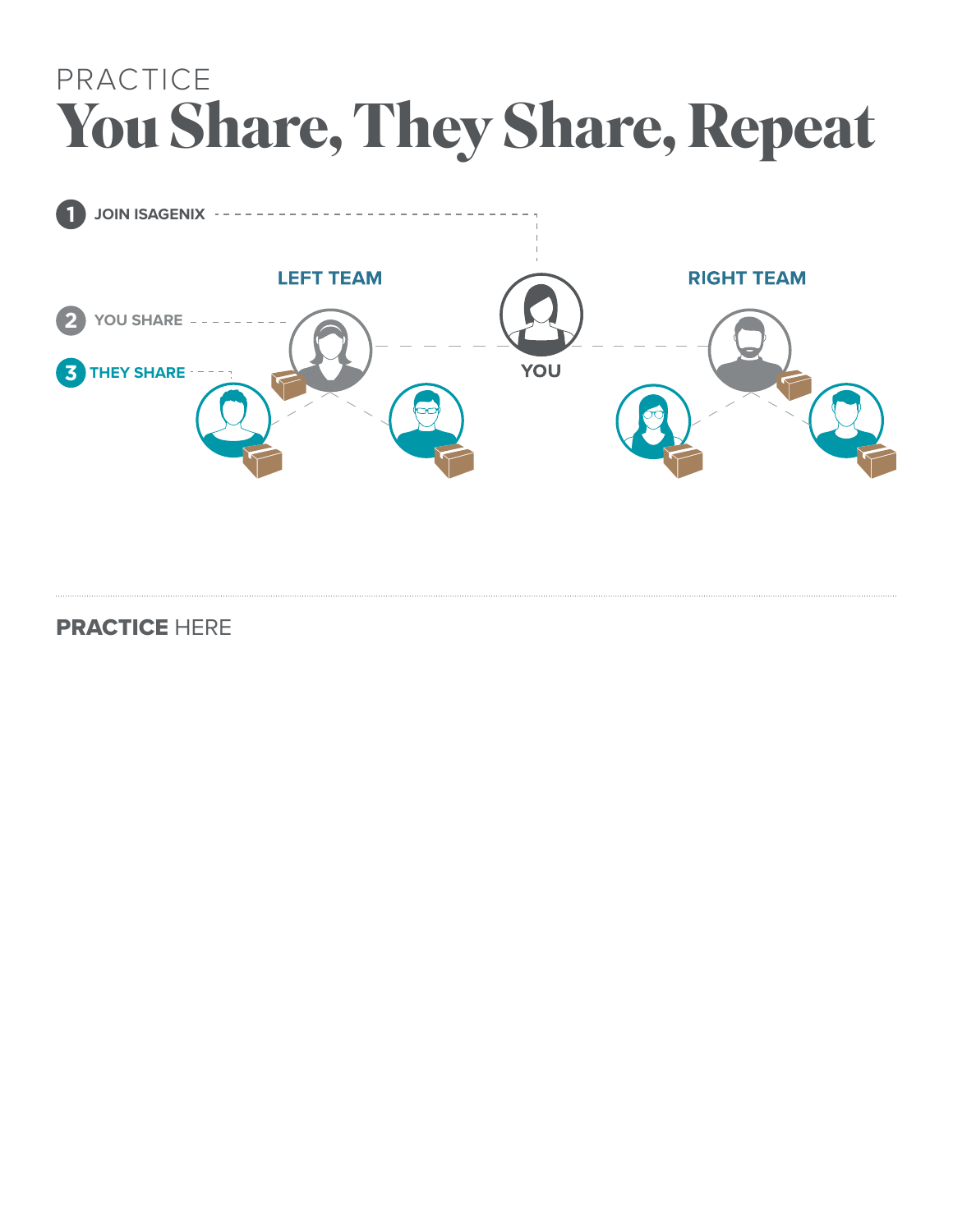## PRACTICE **You Share, They Share, Repeat**



PRACTICE HERE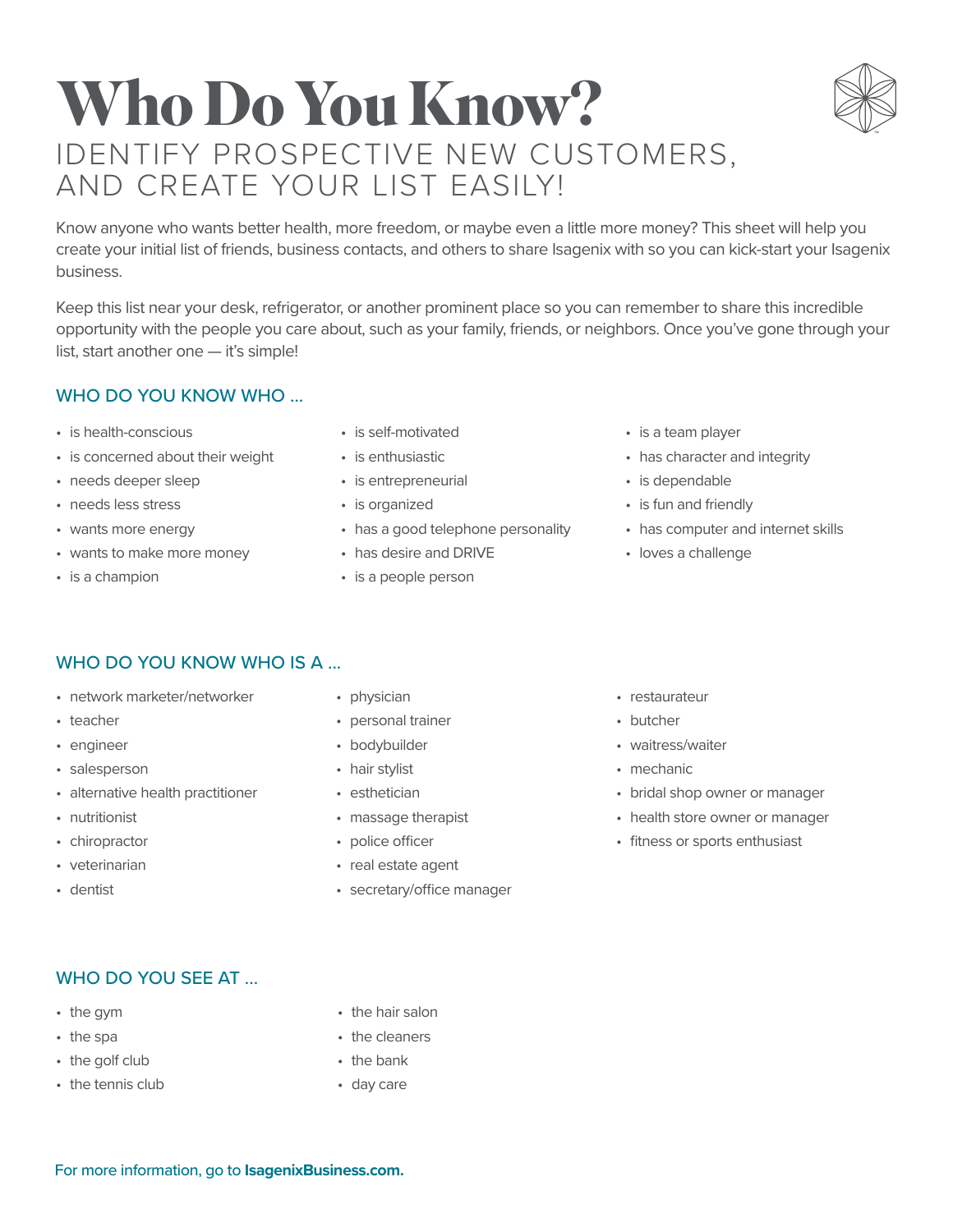### **Who Do You Know?** IDENTIFY PROSPECTIVE NEW CUSTOMERS, AND CREATE YOUR LIST EASILY!

Know anyone who wants better health, more freedom, or maybe even a little more money? This sheet will help you create your initial list of friends, business contacts, and others to share Isagenix with so you can kick-start your Isagenix business.

Keep this list near your desk, refrigerator, or another prominent place so you can remember to share this incredible opportunity with the people you care about, such as your family, friends, or neighbors. Once you've gone through your list, start another one — it's simple!

#### WHO DO YOU KNOW WHO ...

- is health-conscious
- is concerned about their weight
- needs deeper sleep
- needs less stress
- wants more energy
- wants to make more money
- is a champion
- is self-motivated
- is enthusiastic
- is entrepreneurial
- is organized
- has a good telephone personality
- has desire and DRIVE
- is a people person
- is a team player
- has character and integrity
- is dependable
- is fun and friendly
- has computer and internet skills
- loves a challenge

#### WHO DO YOU KNOW WHO IS A ...

- network marketer/networker
- teacher
- engineer
- salesperson
- alternative health practitioner
- nutritionist
- chiropractor
- veterinarian
- dentist
- physician
- personal trainer
- bodybuilder
- hair stylist
- esthetician
- massage therapist
- police officer
- real estate agent
- secretary/office manager
- restaurateur
- butcher
- waitress/waiter
- mechanic
- bridal shop owner or manager
- health store owner or manager
- fitness or sports enthusiast

#### WHO DO YOU SEE AT ...

- the gym
- the spa
- the golf club
- the tennis club
- the hair salon
- the cleaners
- the bank
- day care

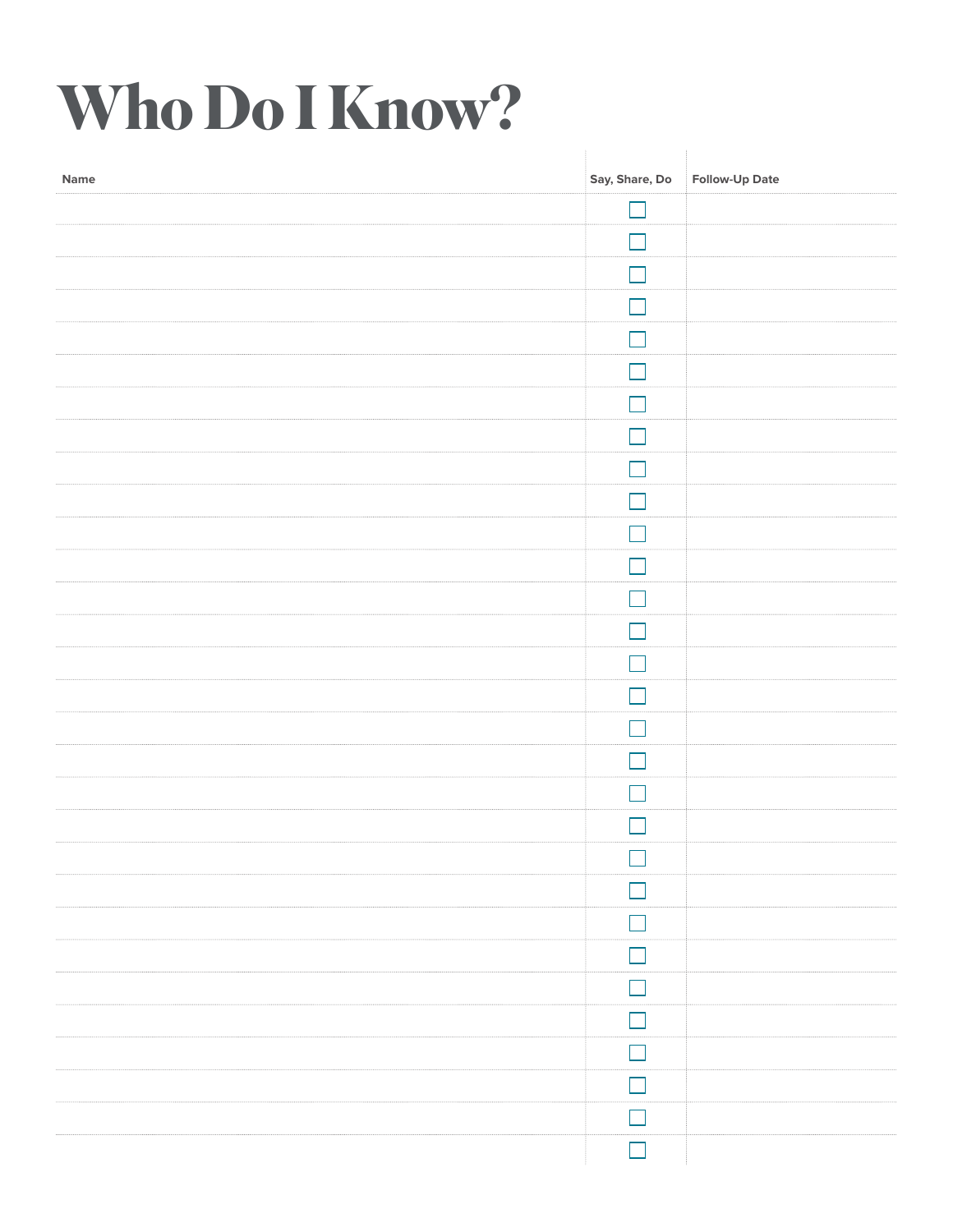# **Who Do I Know?**

| Name | Say, Share, Do | Follow-Up Date |
|------|----------------|----------------|
|      |                |                |
|      | - 1            |                |
|      | - 1            |                |
|      | $\Box$         |                |
|      | $\Box$         |                |
|      | ×.             |                |
|      | n l            |                |
|      | m.             |                |
|      | ×.             |                |
|      |                |                |
|      |                |                |
|      | - 1            |                |
|      | $\mathcal{A}$  |                |
|      | M.             |                |
|      | - 1            |                |
|      | - 1            |                |
|      | - 1            |                |
|      | $\Box$         |                |
|      | $\mathbb{Z}^2$ |                |
|      | - 1            |                |
|      |                |                |
|      | M              |                |
|      | $\Box$         |                |
|      | $\Box$         |                |
|      | m,             |                |
|      | $\Box$         |                |
|      | m,             |                |
|      |                |                |
|      | $\Box$         |                |
|      | П              |                |
|      |                |                |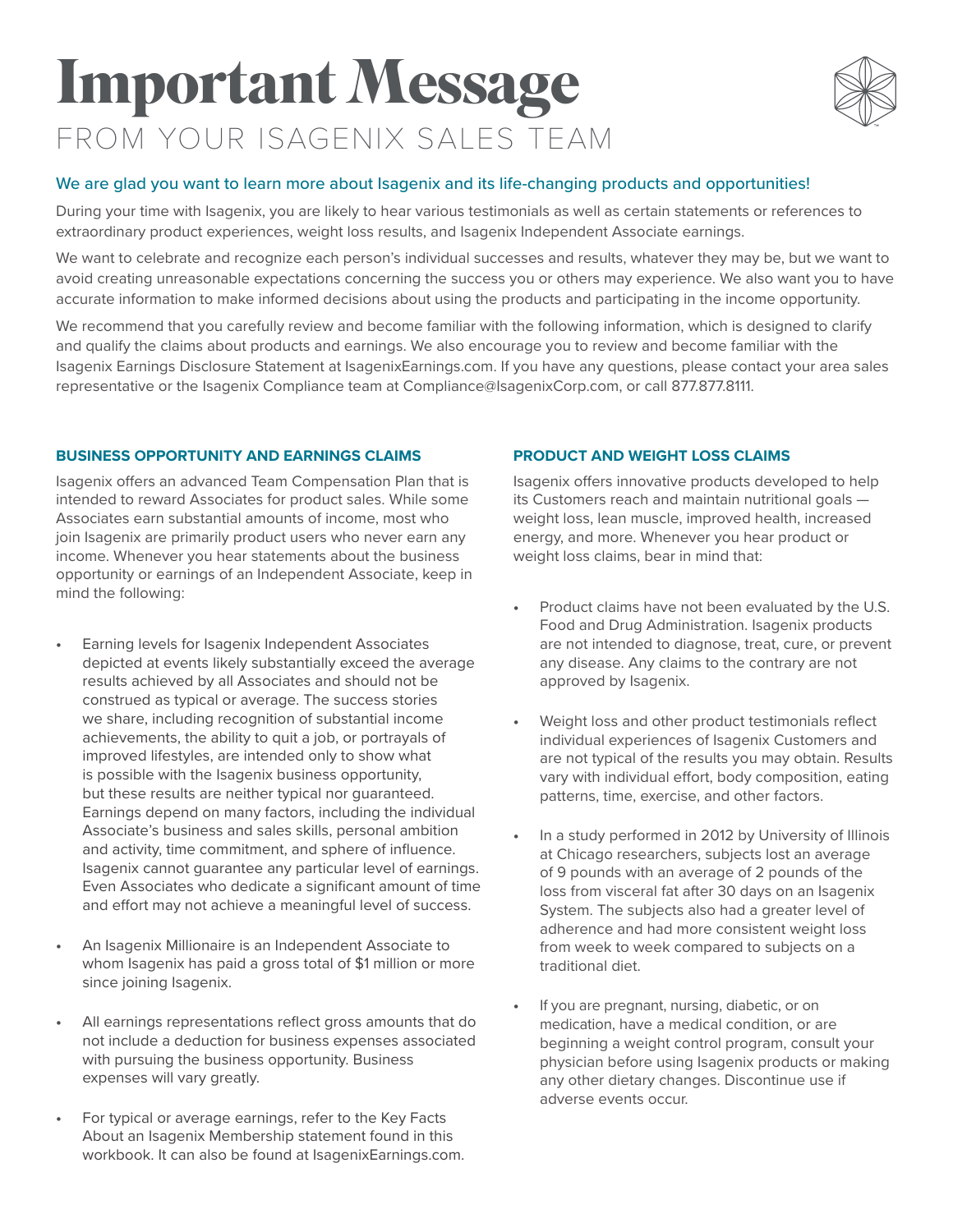## **Important Message** FROM YOUR ISAGENIX SALES TEAM



#### We are glad you want to learn more about Isagenix and its life-changing products and opportunities!

During your time with Isagenix, you are likely to hear various testimonials as well as certain statements or references to extraordinary product experiences, weight loss results, and Isagenix Independent Associate earnings.

We want to celebrate and recognize each person's individual successes and results, whatever they may be, but we want to avoid creating unreasonable expectations concerning the success you or others may experience. We also want you to have accurate information to make informed decisions about using the products and participating in the income opportunity.

We recommend that you carefully review and become familiar with the following information, which is designed to clarify and qualify the claims about products and earnings. We also encourage you to review and become familiar with the Isagenix Earnings Disclosure Statement at IsagenixEarnings.com. If you have any questions, please contact your area sales representative or the Isagenix Compliance team at Compliance@IsagenixCorp.com, or call 877.877.8111.

#### **BUSINESS OPPORTUNITY AND EARNINGS CLAIMS**

Isagenix offers an advanced Team Compensation Plan that is intended to reward Associates for product sales. While some Associates earn substantial amounts of income, most who join Isagenix are primarily product users who never earn any income. Whenever you hear statements about the business opportunity or earnings of an Independent Associate, keep in mind the following:

- **•** Earning levels for Isagenix Independent Associates depicted at events likely substantially exceed the average results achieved by all Associates and should not be construed as typical or average. The success stories we share, including recognition of substantial income achievements, the ability to quit a job, or portrayals of improved lifestyles, are intended only to show what is possible with the Isagenix business opportunity, but these results are neither typical nor guaranteed. Earnings depend on many factors, including the individual Associate's business and sales skills, personal ambition and activity, time commitment, and sphere of influence. Isagenix cannot guarantee any particular level of earnings. Even Associates who dedicate a significant amount of time and effort may not achieve a meaningful level of success.
- **•** An Isagenix Millionaire is an Independent Associate to whom Isagenix has paid a gross total of \$1 million or more since joining Isagenix.
- **•** All earnings representations reflect gross amounts that do not include a deduction for business expenses associated with pursuing the business opportunity. Business expenses will vary greatly.
- **•** For typical or average earnings, refer to the Key Facts About an Isagenix Membership statement found in this workbook. It can also be found at IsagenixEarnings.com.

#### **PRODUCT AND WEIGHT LOSS CLAIMS**

Isagenix offers innovative products developed to help its Customers reach and maintain nutritional goals weight loss, lean muscle, improved health, increased energy, and more. Whenever you hear product or weight loss claims, bear in mind that:

- **•** Product claims have not been evaluated by the U.S. Food and Drug Administration. Isagenix products are not intended to diagnose, treat, cure, or prevent any disease. Any claims to the contrary are not approved by Isagenix.
- **•** Weight loss and other product testimonials reflect individual experiences of Isagenix Customers and are not typical of the results you may obtain. Results vary with individual effort, body composition, eating patterns, time, exercise, and other factors.
- **•** In a study performed in 2012 by University of Illinois at Chicago researchers, subjects lost an average of 9 pounds with an average of 2 pounds of the loss from visceral fat after 30 days on an Isagenix System. The subjects also had a greater level of adherence and had more consistent weight loss from week to week compared to subjects on a traditional diet.
- **•** If you are pregnant, nursing, diabetic, or on medication, have a medical condition, or are beginning a weight control program, consult your physician before using Isagenix products or making any other dietary changes. Discontinue use if adverse events occur.